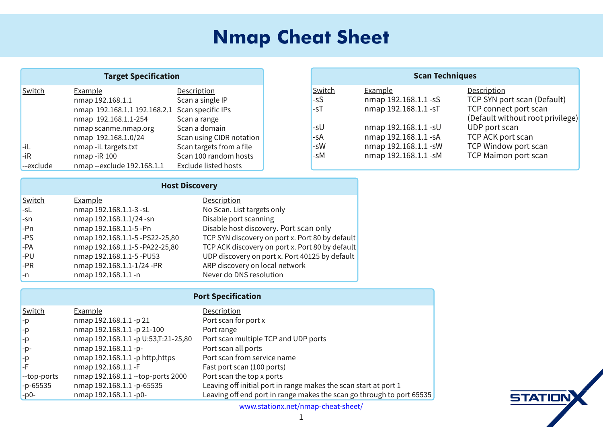| $0 - 1$<br>г<br>г<br><b>FF</b> 1 % | +") -"( '<br>$1 & 8)$ %<br>$7?8@>\@@@$<br>$'$ & )<br>%<br>' &<br>7?8@~@@7?8@~@@<br>$7?8@>@@B;$ :<br>$^{\prime}$ &<br>÷<br>$^{\prime}$ &<br>" &<br>$8 \, 08 \, 00 +$<br>7?8@S@@18:<br>$^{\prime}$ &<br>8)<br>$F - + -$ , @<br>$- +$<br>$\blacksquare$<br>$766 +$<br>'& ) F 766<br>7?8@>@@<br>'& ) FF 1 %<br>$\frac{dy}{dx}$ -<br>$1 \%$ | ' - -"( '<br>"%<br>$+8$<br>$(8!), -$<br>$\frac{1}{2}$ (, -,        | $0 - 1$<br>F,<br>F,<br>F, | $1 & 8) \%$<br>7?8@S@@F,<br>' &<br>&<br>7?8@S@@F,<br>7?8@S@@F,<br>$^{\prime}$ &<br>$^{\prime}$ &<br>7?8@S@@F,<br>$^{\prime}$ &<br>7?8@S@@F,<br>' &<br>7?8@S@@F, |
|------------------------------------|----------------------------------------------------------------------------------------------------------------------------------------------------------------------------------------------------------------------------------------------------------------------------------------------------------------------------------------|--------------------------------------------------------------------|---------------------------|-----------------------------------------------------------------------------------------------------------------------------------------------------------------|
|                                    | $\frac{9}{6}$<br>$\mathbf{u}$                                                                                                                                                                                                                                                                                                          |                                                                    |                           |                                                                                                                                                                 |
| $0 - 1$<br>F,<br>E'                | $1 & 8) \%$<br>7?8@<>@@F9F,<br>$'$ & )<br>$\frac{1}{2}$ 8. $\frac{1}{2}$ 728 a $\sqrt{a}$ and $\frac{a}{2}$ F                                                                                                                                                                                                                          | +") - "( '<br>@",--+<br>-, ( ' 22<br>$\cdots$<br>$0/2$ $($ $\perp$ |                           |                                                                                                                                                                 |

| ., | $\sim$ , $\sim$ $\sim$                |                                                  |
|----|---------------------------------------|--------------------------------------------------|
| F  | $'$ & ) 7?8@ $\approx$ @@18: F,'      | $\%$ ) (+, ''"                                   |
| F. | '& )7?8 <b>@⇔@@F</b> ;F'              | %! (,- ", (/ $\pm 2@$ (+, ' (' %)                |
|    | 8 ) 7?8@c $\approx$ @@F;F88FB;As6     | $. \%$<br>", $( / +2 ( ) + 1@( + >6 2)$          |
|    | $8$ ) 7?802 $\infty$ 020F, F88FB; As6 | . %<br>", $( / +2 ( ) ) (+1@( + >6 2)$           |
|    | $'$ & ) 7?8@ $\approx$ @@ $F$ ; F; 9  | $. \%$<br>", $( / +2 ( ) + 1 \omega (+ : 678; 2$ |
|    | '& )7?8 <b>@⇔@@F</b> 7I8:F            | ", $($ / $+2$ (' % % -0( $+$ \$                  |
| Е  | '& )7?8 <b>@<sub>~</sub>@@F</b>       | + , ( %−"( '<br>$+$ (                            |

| $0 - 1$                      | $1 & 8)$ %                            | +") -"( '                                                                  |
|------------------------------|---------------------------------------|----------------------------------------------------------------------------|
| Ą                            | 8)7?8@>@@F87                          | $(+) (+ 1)$<br>$+$ .                                                       |
| F)                           | $8$ ) 7?8@ $\infty$ @@Fj87F766        | $+ +$                                                                      |
| F)                           | 8) 7?8@cs@@Fj B9ABB7FB;As6            | $'$ & $\cdot$ %) %<br>$+$ .<br>$(+,$                                       |
| ĦЕ                           | '& )7?8 <b>@⇔@@F</b> jF               | $\% +$<br>$+$ .                                                            |
| Ħ                            | $' 8$ ) 7?8@ $\infty$ @@Fj !--)A--),  | $+(8, +"$<br>&<br>$+$ ,                                                    |
| $\mathsf{F}$                 | '&)7?8@c>@@F                          | $G66$ ) (+, H<br>$(-) (+, 2)$                                              |
| $ff()ff(+,$                  | $'$ & ) 7?8@ $\approx$ @@FF()F(+,8666 | $-!$ $-() 1) (+,$<br>$+$ .                                                 |
| $\overline{H}$ F $\leq$ ; 9; | 8) $7?8@>@@F \r{F}$ ; 9;              | (4""-"%(+" +' & \$,-!, ',- + -)(+7                                         |
| F) 6F                        | & ) 7?8@ $\infty$ @@Fj6F              | $8\,$ \$, -!,<br>$+$ '<br>$(-! + (- \cdot) (-) + (- \cdot) 9;$<br>4<br>$+$ |
|                              |                                       | $000@ - "('1@ - l' 8) F! - F! - l$                                         |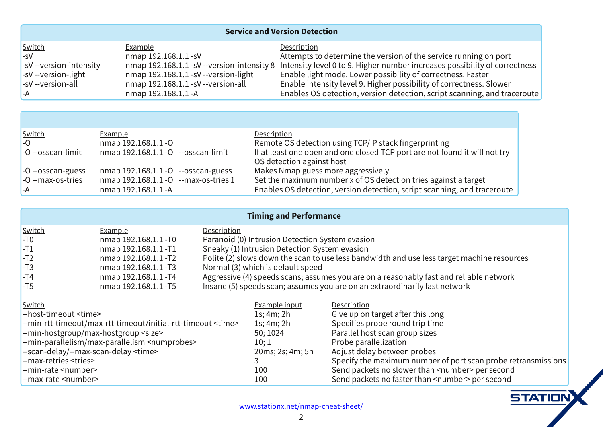| $-0 - 1$                            | <u>1&amp;)%</u>                                                                                                                                                                                                                                                                                                                                                                                                                                                                             | $\cdot$ +") -"(                                                                                      |
|-------------------------------------|---------------------------------------------------------------------------------------------------------------------------------------------------------------------------------------------------------------------------------------------------------------------------------------------------------------------------------------------------------------------------------------------------------------------------------------------------------------------------------------------|------------------------------------------------------------------------------------------------------|
|                                     | '&)7?8 <b>@&lt;&gt;@@F</b> ,                                                                                                                                                                                                                                                                                                                                                                                                                                                                | -- & ) -, -( - +& "' -! / +, "(' ( -! , +/" + '' "' (' ) (+                                          |
| $F, \mathbb{F}$ + "(' $F'$ - ', "-2 |                                                                                                                                                                                                                                                                                                                                                                                                                                                                                             | '& )7?8@⇔@@F, FF/+,"('F'-',"-2> '-',"-2%/ %5-(?@"!+'.& +"'+ , ,)(,,""%2( (++ -' ,                    |
| $F, FF, +$ "(' $P\%$ !-             | '&)7?8@⇔@@F,FFF+,"('P%!-                                                                                                                                                                                                                                                                                                                                                                                                                                                                    | $\%$ %! - & ( $\textcircled{2}(0 + 1),$ , "%2 ( $\left( + \frac{1}{2}, 0, \frac{1}{2} \right)$ , - + |
| $F, \quad F \neq "('F%')$           | '& )7?8@k⇔@@F, FF/+,"('F%%                                                                                                                                                                                                                                                                                                                                                                                                                                                                  | $\%$ " - ', ''-2%' %@ ''! +) (, , '' ''%2( (++ -', , @%0 +                                           |
|                                     | '&)7?8@ $\!\!\!\!\!\circ\!\!\!\!\circ\!\!\!\!\circ\!\!\!\!\circ\!\!\!\!\circ\!\!\!\!\circ\!\!\!\!\circ\!\!\!\!\circ\!\!\!\!\circ\!\!\!\!\circ\!\!\!\!\circ\!\!\!\!\circ\!\!\!\circ\!\!\!\!\circ\!\!\!\!\circ\!\!\!\!\circ\!\!\!\!\circ\!\!\!\!\circ\!\!\!\!\circ\!\!\!\!\circ\!\!\!\circ\!\!\!\!\circ\!\!\!\!\circ\!\!\!\circ\!\!\!\circ\!\!\!\circ\!\!\!\circ\!\!\!\circ\!\!\!\circ\!\!\!\circ\!\!\!\circ\!\!\!\circ\!\!\!\circ\!\!\!\circ\!\!\!\circ\!\!\!\circ\!\!\!\circ\!\!\!\circ\!\$ | %, - -"(' A' +,"(' - -"(' A +") - , '' '" A '                                                        |

| $0 - 1$                   | $-1$ & $\frac{9}{6}$                                   |                                                                             |
|---------------------------|--------------------------------------------------------|-----------------------------------------------------------------------------|
| F                         | $'8$ ) 7?8@ $\infty$ @@F                               | $ -$ "(' $\ldots$ , "   $\ldots$ - \$ " +) +" - "<br>& ( -                  |
| $Fff, 'P\$ .              | $^{\prime}$ & ) 7?8@ $\approx$ @@FFF,,<br>$'$ $P\%$ "- | $\%$ , ) ( + + ' ( - ( . ' "- 0 ''% ( - -+2)<br>$-$ % $, -$ ( ' ( ) ' ' ( ' |
|                           |                                                        |                                                                             |
| $F$ $H$ , $'F$ .,         | $'8$ ) 7?8@ $\infty$ @ $F$ $\mathbb{F}$ ,, $'F$ .,     | $\$$ , & ) .,, & (+ +,, "/ 22                                               |
| $\mathsf{F}$ FRS 1F, F+", | '& ) 7?8@ $\approx$ @@F<br>FR& 1F(,F+", 7              |                                                                             |
|                           | '&)7?8@ $\approx$ @@F                                  | $\%$ , - -"(' A' +,"(' - -"(' A +") - , '' '" A '                           |

|                                                   | <u>__1_&amp; ) %</u>                                              |                                                                                                                |                                                                                                                                                                                                                                                                                                                                    |
|---------------------------------------------------|-------------------------------------------------------------------|----------------------------------------------------------------------------------------------------------------|------------------------------------------------------------------------------------------------------------------------------------------------------------------------------------------------------------------------------------------------------------------------------------------------------------------------------------|
| $\frac{0}{\sqrt{6}}$                              | 8) 7?8@>@@F6                                                      | +' ( " G6H' -+ , "( '     -   -"( '   2, -  &   /  , "( '                                                      |                                                                                                                                                                                                                                                                                                                                    |
| F7                                                | $'8$ ) 7?8@ $\infty$ @@F7                                         |                                                                                                                | ' \$2 GH' -+ , "(' - -"(' 2, - & / , "('<br>(% GH %0, (0' -!, ' -( , %, ' 0" -!' ., %, - + -& !'" + ,(.+ ,                                                                                                                                                                                                                         |
| F8                                                | $'8$ ) 7?8@ $\infty$ @@F8                                         |                                                                                                                |                                                                                                                                                                                                                                                                                                                                    |
| $\begin{array}{c} \nF9 \\ F: \\ F; \n\end{array}$ | $'8$ ) 7?8@ $\infty$ @@F9                                         | $( +8, 9$ GHD!"!", %,)                                                                                         |                                                                                                                                                                                                                                                                                                                                    |
|                                                   |                                                                   |                                                                                                                | ' & )7?8@⇔@@F:               + , , "/  GH)  , , ' , C , , . & ,2( . + ( '   + ,( '   22 ,- '   + %  %'  -0 ( +\$<br>' & )7?8@⇔@@F ;         ' , '   GH)  , , ' C , , . & ,2( . + ( '   '  1-+ ( + '"  +"22 ,- '  -0 ( +\$                                                                                                          |
|                                                   |                                                                   |                                                                                                                |                                                                                                                                                                                                                                                                                                                                    |
|                                                   |                                                                   |                                                                                                                |                                                                                                                                                                                                                                                                                                                                    |
| $0 - 1$                                           |                                                                   | $1 & 8) %$ ").-                                                                                                | <u>+")-"('</u><br>"/ .) (' - + - 5 +-!", %'                                                                                                                                                                                                                                                                                        |
| 用 (, -F"& (. - N"& O                              |                                                                   | 7, C & C8!                                                                                                     |                                                                                                                                                                                                                                                                                                                                    |
|                                                   | FR& "' F+-F''& (. -I& 1F+-F''& (. -I "' "-" '%F+-F''& (. - N''& O | 7, C & C8!                                                                                                     | $\rightarrow$ $\cdots$ , $\rightarrow$ $\rightarrow$ $\rightarrow$ $\cdots$ , $\rightarrow$ $\rightarrow$ $\cdots$                                                                                                                                                                                                                 |
|                                                   | FR& " F ( , - $+($ . ) 1& 1F ( , - $+($ . ) N "3 O                | ; 6C768:                                                                                                       | $+$ %% (, -, ' +(.), "3,                                                                                                                                                                                                                                                                                                           |
|                                                   | FRS." Fj + % % & 18. 1Fj + % % % & N . & ) +( , O                 | 76C7 and the set of the set of the set of the set of the set of the set of the set of the set of the set of th | $+( ) + %80\% - (( )$                                                                                                                                                                                                                                                                                                              |
| FF, 'F %21FR& 1F, 'F %2N"& O                      |                                                                   | 86&, <b>B</b> , <b>C</b> & <b>C</b> !                                                                          | #,- %2 -0 ')+(,                                                                                                                                                                                                                                                                                                                    |
| <b>FB</b> 1F+ -+", N+", O                         |                                                                   | 9                                                                                                              | ) $"2-!$ & 1"& . & ' . & +( ) (+, ' ) +( + -+', & ", , "(',                                                                                                                                                                                                                                                                        |
| <b>FR</b> & "F+ - N.&+O                           |                                                                   | 766                                                                                                            | $\begin{pmatrix} 1 & 0 & 0 \\ 0 & 0 & 0 \\ 0 & 0 & 0 \\ 0 & 0 & 0 \\ 0 & 0 & 0 \\ 0 & 0 & 0 \\ 0 & 0 & 0 \\ 0 & 0 & 0 \\ 0 & 0 & 0 \\ 0 & 0 & 0 \\ 0 & 0 & 0 \\ 0 & 0 & 0 \\ 0 & 0 & 0 \\ 0 & 0 & 0 & 0 \\ 0 & 0 & 0 & 0 \\ 0 & 0 & 0 & 0 \\ 0 & 0 & 0 & 0 \\ 0 & 0 & 0 & 0 \\ 0 & 0 & 0 & 0 & 0 \\ 0 & 0 & 0 & 0 & 0 \\ 0 & 0 & $ |
| $IR$ 1F+ - N $.8$ +O                              |                                                                   | 766                                                                                                            |                                                                                                                                                                                                                                                                                                                                    |

 $000@ - "('1@ - l' 8 ) F! -F! -l$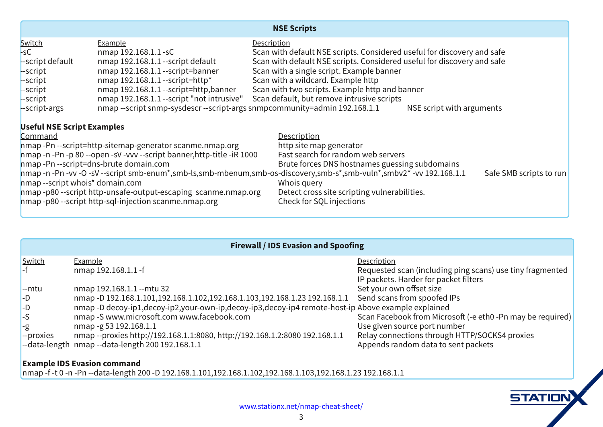| $\frac{0 - 1}{F}$<br><b>H</b> , +") -<br>. %<br>[H, +") -<br>[H, +") -<br>(i) $\overline{F}$ ; $\overline{F}$ ) - $\overline{8}$ ) 7?8@ $\infty$ @@ff; $\overline{F}$ ) -M --) A '' + $0$ "-! -0 (, +") -, @1 &) %! --) ' '' +<br>(i) --) - ' & ) 7?8@ $\infty$ @@ff; +") - E (- "' -+, ") E ' . %A . - + & (/ "' -+, ") , +") -,<br>(i) - F + , | $\begin{array}{lllllllll} & & & & - & + \frac{19}{10} - \frac{11}{10} & & & & \\ \hline 1 & 8 & 778 & 20 & 20 & 5 \\ 8 & 778 & 20 & 20 & 5 \\ 8 & 278 & 20 & 20 & 5 \\ 8 & 278 & 20 & 20 & 5 \\ 8 & 278 & 20 & 20 & 5 \\ 8 & 278 & 20 & 20 & 5 \\ 8 & 278 & 20 & 20 & 5 \\ 8 & 278 & 20 & 20 & 5 \\ 8 & 278 & 20 & 20 & 5 \\ $<br>$'8$ ) 7?8@ $\approx$ @@IF, +") -M --) K $'0$ "-! $0$ "% + @1 &) %! --) |                                            |
|--------------------------------------------------------------------------------------------------------------------------------------------------------------------------------------------------------------------------------------------------------------------------------------------------------------------------------------------------|-----------------------------------------------------------------------------------------------------------------------------------------------------------------------------------------------------------------------------------------------------------------------------------------------------------------------------------------------------------------------------------------------------------|--------------------------------------------|
| '& )FF'F/FF; FF; +")-,&F'.&KA,&P,⁄A,&R&'.&A,&F(,F",(/+2A,&F,KA,&F.%KA,&/8KF/7?8@k⇔@@<br>$\vert$ 8 $\vert$ F, +") - 0! (", K ( & " $\alpha$ ( &                                                                                                                                                                                                   | $\frac{1}{2}$ (", *, +2                                                                                                                                                                                                                                                                                                                                                                                   | $, +^{\prime\prime}$ ) -, -( + $^{\prime}$ |

|                   | $\mathbf{H}$<br>$\alpha$<br>#                                                                                                                                                                                                                                                                                                                  |                                                                                                                                                                                                                                                                                                                                 |
|-------------------|------------------------------------------------------------------------------------------------------------------------------------------------------------------------------------------------------------------------------------------------------------------------------------------------------------------------------------------------|---------------------------------------------------------------------------------------------------------------------------------------------------------------------------------------------------------------------------------------------------------------------------------------------------------------------------------|
| <u>0 "- !</u>     | 18)%<br>'& ) 7?8@cs@@F                                                                                                                                                                                                                                                                                                                         | $\frac{1}{2}$ , $\frac{1}{2}$ , $\frac{1}{2}$ , $\frac{1}{2}$ , $\frac{1}{2}$ , $\frac{1}{2}$ , $\frac{1}{2}$ , $\frac{1}{2}$ , $\frac{1}{2}$ , $\frac{1}{2}$ , $\frac{1}{2}$ , $\frac{1}{2}$ , $\frac{1}{2}$ , $\frac{1}{2}$ , $\frac{1}{2}$ , $\frac{1}{2}$ , $\frac{1}{2}$ , $\frac{1}{2}$ , $\frac{1}{2}$ , $\frac{1}{2}$ , |
| <b>FR&amp;</b> -. | ) $7?8@>@@$ FB. -. 98<br><u>&amp;</u><br>'& )F7?8@S@@67A?8@S@@68A?8@S@@69A?8@S@@97?8@S@@<br>'& )F (2F")7A (2F")8A2(.+F(0'F")A (2F")9A (2F"):+&(-F!(,-F") (/ 1&)%1)%"'<br>$'$ &)F000@U"+(,(5@(&000@((\$@(&<br>$'8$ ) F:97?8@ $\sim$ @@<br>H)+(1", '& )H)+(1",!--)BI7?8@⇔@@B>6>6A'--)BI7?8@⇔@@B>6>67?8@⇔@@<br>FF - P%'-!'& )FF - P%'-!8667?8@⇔@@ | $-2($ . +(0' (4, -, "3)<br>$+(8.)(6)$<br>$($ \$ $+$ & $" +$ $($ 5 $\bullet$ $-$ 16F' & 2 $+$ $*$ $" +$ $\bullet$<br>$\sqrt{2}$ $\sqrt{2}$ $(1 + 1)(1 + 1)$ . $8 + 1$<br>$\frac{9}{2}$ ('' -"(', -! +( $\cdot$ !   :) +(1",<br>1) + + (& - -(, '-) \$ -,                                                                         |
|                   | '& )FF6FF'FF - P%' -!866F7?8@l⇔@@167A7?8@l⇔@@168A7?8@l⇔@@169A7?8@l⇔@@897?8@l⇔@@                                                                                                                                                                                                                                                                |                                                                                                                                                                                                                                                                                                                                 |

 $000@ - "('1@ - I' & )F! -F! - I$